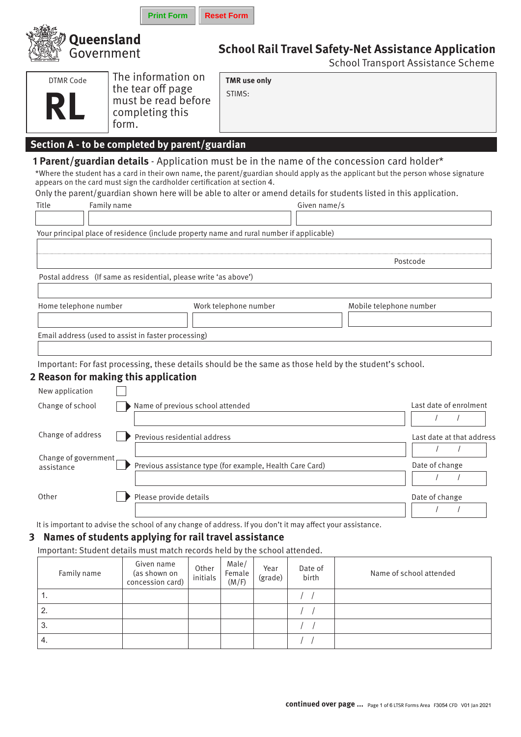|   |                                                         |                          | <b>Print Form</b>                                                                                                                                                                                                                                                           |                   | <b>Reset Form</b>             |                 |                  |                                                                                                                                                                                                                   |                                                                                                                                   |
|---|---------------------------------------------------------|--------------------------|-----------------------------------------------------------------------------------------------------------------------------------------------------------------------------------------------------------------------------------------------------------------------------|-------------------|-------------------------------|-----------------|------------------|-------------------------------------------------------------------------------------------------------------------------------------------------------------------------------------------------------------------|-----------------------------------------------------------------------------------------------------------------------------------|
|   |                                                         | Queensland<br>Government |                                                                                                                                                                                                                                                                             |                   |                               |                 |                  |                                                                                                                                                                                                                   | <b>School Rail Travel Safety-Net Assistance Application</b><br><b>School Transport Assistance Scheme</b>                          |
|   | <b>DTMR Code</b>                                        |                          | The information on<br>the tear off page<br>must be read before<br>completing this<br>form.                                                                                                                                                                                  |                   | <b>TMR</b> use only<br>STIMS: |                 |                  |                                                                                                                                                                                                                   |                                                                                                                                   |
|   | Title                                                   | Family name              | Section A - to be completed by parent/guardian<br>appears on the card must sign the cardholder certification at section 4.<br>Your principal place of residence (include property name and rural number if applicable)                                                      |                   |                               |                 | Given name/s     | 1 Parent/guardian details - Application must be in the name of the concession card holder*<br>Only the parent/guardian shown here will be able to alter or amend details for students listed in this application. | *Where the student has a card in their own name, the parent/guardian should apply as the applicant but the person whose signature |
|   |                                                         |                          | Postal address (If same as residential, please write 'as above')                                                                                                                                                                                                            |                   |                               |                 |                  |                                                                                                                                                                                                                   | Postcode                                                                                                                          |
|   | Home telephone number                                   |                          | Email address (used to assist in faster processing)                                                                                                                                                                                                                         |                   | Work telephone number         |                 |                  | Mobile telephone number                                                                                                                                                                                           |                                                                                                                                   |
|   | New application<br>Change of school                     |                          | 2 Reason for making this application<br>Name of previous school attended                                                                                                                                                                                                    |                   |                               |                 |                  | Important: For fast processing, these details should be the same as those held by the student's school.                                                                                                           | Last date of enrolment                                                                                                            |
|   | Change of address<br>Change of government<br>assistance |                          | Previous residential address<br>Previous assistance type (for example, Health Care Card)                                                                                                                                                                                    |                   |                               |                 |                  |                                                                                                                                                                                                                   | Last date at that address<br>$\prime$<br>$\prime$<br>Date of change                                                               |
| 3 | Other                                                   |                          | Please provide details<br>It is important to advise the school of any change of address. If you don't it may affect your assistance.<br>Names of students applying for rail travel assistance<br>Important: Student details must match records held by the school attended. |                   |                               |                 |                  |                                                                                                                                                                                                                   | Date of change                                                                                                                    |
|   | Family name<br>1.                                       |                          | Given name<br>(as shown on<br>concession card)                                                                                                                                                                                                                              | Other<br>initials | Male/<br>Female<br>(M/F)      | Year<br>(grade) | Date of<br>birth |                                                                                                                                                                                                                   | Name of school attended                                                                                                           |
|   |                                                         |                          |                                                                                                                                                                                                                                                                             |                   |                               |                 |                  |                                                                                                                                                                                                                   |                                                                                                                                   |

2.  $\qquad \qquad$ 3.  $\qquad \qquad$ 4. (a)  $\qquad \qquad$  /  $\qquad$  /  $\qquad$  /  $\qquad$  /  $\qquad$  /  $\qquad$  /  $\qquad$  /  $\qquad$  /  $\qquad$  /  $\qquad$  /  $\qquad$  /  $\qquad$  /  $\qquad$  /  $\qquad$  /  $\qquad$  /  $\qquad$  /  $\qquad$  /  $\qquad$  /  $\qquad$  /  $\qquad$  /  $\qquad$  /  $\qquad$  /  $\qquad$  /  $\qquad$  /  $\qquad$  /  $\qquad$  /  $\qquad$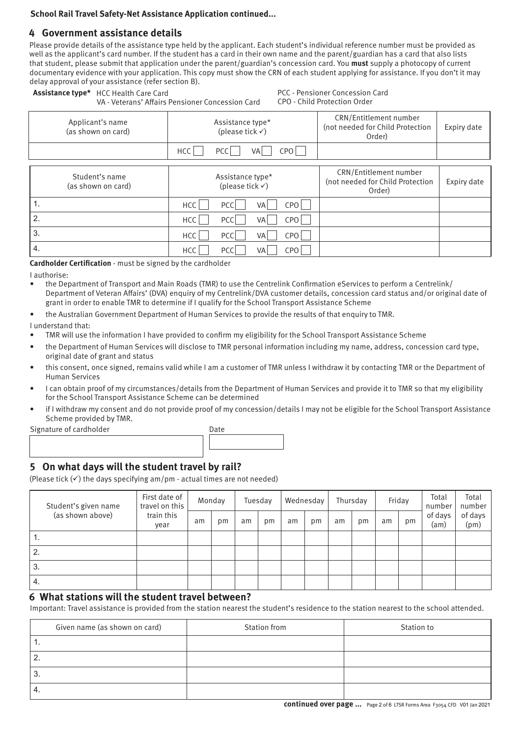### **School Rail Travel Safety-Net Assistance Application continued...**

# **4 Government assistance details**

Please provide details of the assistance type held by the applicant. Each student's individual reference number must be provided as well as the applicant's card number. If the student has a card in their own name and the parent/guardian has a card that also lists that student, please submit that application under the parent/guardian's concession card. You **must** supply a photocopy of current documentary evidence with your application. This copy must show the CRN of each student applying for assistance. If you don't it may delay approval of your assistance (refer section B). **Assistance type\*** HCC Health Care Card PCC - Pensioner Concession Card

| <b>ASSISTATIVE TYPE</b> TICL HEALTH CATE CATE | VA - Veterans' Affairs Pensioner Concession Card | FLL - FEIISIUIIEI LUIILESSIUII LAIU<br>CPO - Child Protection Order  |             |  |  |  |
|-----------------------------------------------|--------------------------------------------------|----------------------------------------------------------------------|-------------|--|--|--|
| Applicant's name<br>(as shown on card)        | Assistance type*<br>(please tick $\checkmark$ )  | CRN/Entitlement number<br>(not needed for Child Protection<br>Order) | Expiry date |  |  |  |
|                                               | <b>HCC</b><br>CPO l<br>PCC<br>VA                 |                                                                      |             |  |  |  |
| Student's name                                | Assistance type*                                 | CRN/Entitlement number<br>(not needed for Child Protection           | Expiry date |  |  |  |
| (as shown on card)                            | (please tick $\checkmark$ )                      | (Order                                                               |             |  |  |  |

| (as siluwii uli calu) | (prease tick $\mathbf{v}$ )                 | Order) |  |
|-----------------------|---------------------------------------------|--------|--|
| 1.                    | CPO<br>PCC<br>VA<br>HCC                     |        |  |
| 2.                    | CPO  <br> PCC <br>HCC  <br>VA               |        |  |
| 3.                    | PCC I<br>CPO<br>HCC  <br><b>VA</b>          |        |  |
| 4.                    | CPO <sup> </sup><br>HCC<br><b>PCC</b><br>VA |        |  |

**Cardholder Certification** - must be signed by the cardholder

I authorise:

- the Department of Transport and Main Roads (TMR) to use the Centrelink Confirmation eServices to perform a Centrelink/ Department of Veteran Affairs' (DVA) enquiry of my Centrelink/DVA customer details, concession card status and/or original date of grant in order to enable TMR to determine if I qualify for the School Transport Assistance Scheme
- the Australian Government Department of Human Services to provide the results of that enquiry to TMR.

I understand that:

- TMR will use the information I have provided to confirm my eligibility for the School Transport Assistance Scheme
- the Department of Human Services will disclose to TMR personal information including my name, address, concession card type, original date of grant and status
- this consent, once signed, remains valid while I am a customer of TMR unless I withdraw it by contacting TMR or the Department of Human Services
- I can obtain proof of my circumstances/details from the Department of Human Services and provide it to TMR so that my eligibility for the School Transport Assistance Scheme can be determined
- if I withdraw my consent and do not provide proof of my concession/details I may not be eligible for the School Transport Assistance Scheme provided by TMR.

| Signature of cardholder | Date |
|-------------------------|------|
|                         |      |
|                         |      |

# **5 On what days will the student travel by rail?**

(Please tick  $(\checkmark)$  the days specifying am/pm - actual times are not needed)

| Student's given name | First date of<br>travel on this<br>train this<br>year | Monday |    |    | Tuesday |    | Wednesday |    | Thursday |    | Friday | Total<br>number | Total<br>number |
|----------------------|-------------------------------------------------------|--------|----|----|---------|----|-----------|----|----------|----|--------|-----------------|-----------------|
| (as shown above)     |                                                       | am     | pm | am | pm      | am | pm        | am | pm       | am | pm     | of days<br>(am) | of days<br>(pm) |
| .,                   |                                                       |        |    |    |         |    |           |    |          |    |        |                 |                 |
| 2.                   |                                                       |        |    |    |         |    |           |    |          |    |        |                 |                 |
| 3.                   |                                                       |        |    |    |         |    |           |    |          |    |        |                 |                 |
| 4.                   |                                                       |        |    |    |         |    |           |    |          |    |        |                 |                 |

# **6 What stations will the student travel between?**

Important: Travel assistance is provided from the station nearest the student's residence to the station nearest to the school attended.

|          | Given name (as shown on card) | Station from | Station to |
|----------|-------------------------------|--------------|------------|
|          |                               |              |            |
| <u>.</u> |                               |              |            |
| ◡        |                               |              |            |
|          |                               |              |            |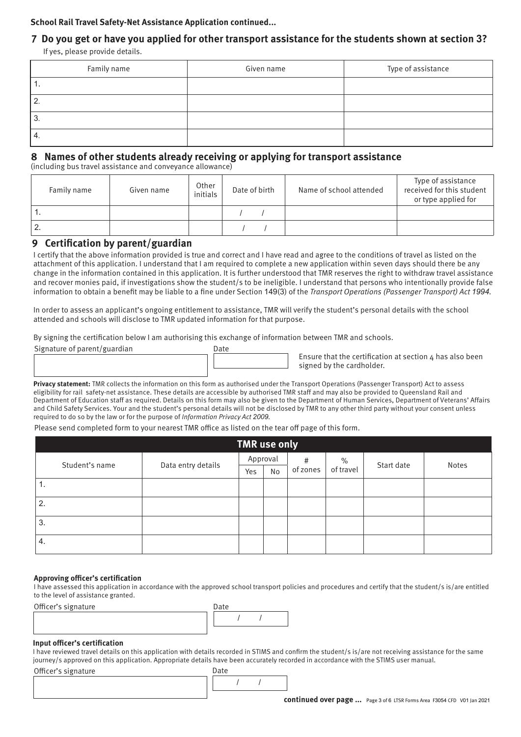## **School Rail Travel Safety-Net Assistance Application continued...**

# **7 Do you get or have you applied for other transport assistance for the students shown at section 3?**

If yes, please provide details.

| Family name | Given name | Type of assistance |
|-------------|------------|--------------------|
| . .         |            |                    |
|             |            |                    |
| ╭<br>ა.     |            |                    |
| 4.          |            |                    |

# **8 Names of other students already receiving or applying for transport assistance**

(including bus travel assistance and conveyance allowance)

| Family name | Given name | Other<br>initials | Date of birth | Name of school attended | Type of assistance<br>received for this student<br>or type applied for |
|-------------|------------|-------------------|---------------|-------------------------|------------------------------------------------------------------------|
|             |            |                   |               |                         |                                                                        |
| Ζ.          |            |                   |               |                         |                                                                        |

# **9 Certification by parent/guardian**

I certify that the above information provided is true and correct and I have read and agree to the conditions of travel as listed on the attachment of this application. I understand that I am required to complete a new application within seven days should there be any change in the information contained in this application. It is further understood that TMR reserves the right to withdraw travel assistance and recover monies paid, if investigations show the student/s to be ineligible. I understand that persons who intentionally provide false information to obtain a benefit may be liable to a fine under Section 149(3) of the Transport Operations (Passenger Transport) Act *1994*.

In order to assess an applicant's ongoing entitlement to assistance, TMR will verify the student's personal details with the school attended and schools will disclose to TMR updated information for that purpose.

By signing the certification below I am authorising this exchange of information between TMR and schools.

Signature of parent/guardian Date

Ensure that the certification at section  $\Delta$  has also been signed by the cardholder.

**Privacy statement:** TMR collects the information on this form as authorised under the Transport Operations (Passenger Transport) Act to assess eligibility for rail safety-net assistance. These details are accessible by authorised TMR staff and may also be provided to Queensland Rail and Department of Education staff as required. Details on this form may also be given to the Department of Human Services, Department of Veterans' Affairs and Child Safety Services. Your and the student's personal details will not be disclosed by TMR to any other third party without your consent unless required to do so by the law or for the purpose of *Information Privacy Act 2009.* 

Please send completed form to your nearest TMR office as listed on the tear off page of this form.

| TMR use only   |                    |     |          |          |                   |            |       |  |  |
|----------------|--------------------|-----|----------|----------|-------------------|------------|-------|--|--|
| Student's name | Data entry details |     | Approval | #        | $\%$<br>of travel | Start date | Notes |  |  |
|                |                    | Yes | No       | of zones |                   |            |       |  |  |
| 1.             |                    |     |          |          |                   |            |       |  |  |
| 2.             |                    |     |          |          |                   |            |       |  |  |
| 3.             |                    |     |          |          |                   |            |       |  |  |
| 4.             |                    |     |          |          |                   |            |       |  |  |

#### **Approving officer's certification**

I have assessed this application in accordance with the approved school transport policies and procedures and certify that the student/s is/are entitled to the level of assistance granted.

Officer's signature



#### **Input officer's certification**

I have reviewed travel details on this application with details recorded in STIMS and confirm the student/s is/are not receiving assistance for the same journey/s approved on this application. Appropriate details have been accurately recorded in accordance with the STIMS user manual.

Officer's signature

/ / Date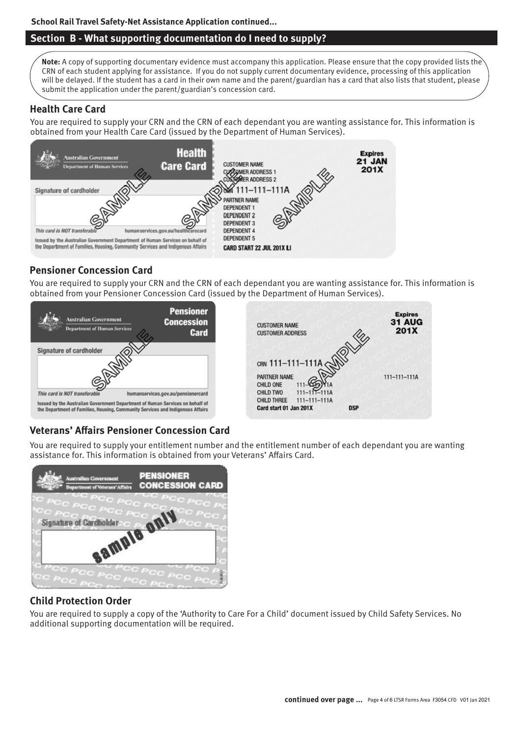## **School Rail Travel Safety-Net Assistance Application continued...**

# **Section B - What supporting documentation do I need to supply?**

**Note:** A copy of supporting documentary evidence must accompany this application. Please ensure that the copy provided lists the CRN of each student applying for assistance. If you do not supply current documentary evidence, processing of this application will be delayed. If the student has a card in their own name and the parent/guardian has a card that also lists that student, please submit the application under the parent/guardian's concession card.

# **Health Care Card**

You are required to supply your CRN and the CRN of each dependant you are wanting assistance for. This information is obtained from your Health Care Card (issued by the Department of Human Services).



# **Pensioner Concession Card**

You are required to supply your CRN and the CRN of each dependant you are wanting assistance for. This information is obtained from your Pensioner Concession Card (issued by the Department of Human Services).



# **Veterans' Affairs Pensioner Concession Card**

You are required to supply your entitlement number and the entitlement number of each dependant you are wanting assistance for. This information is obtained from your Veterans' Affairs Card.



# **Child Protection Order**

You are required to supply a copy of the 'Authority to Care For a Child' document issued by Child Safety Services. No additional supporting documentation will be required.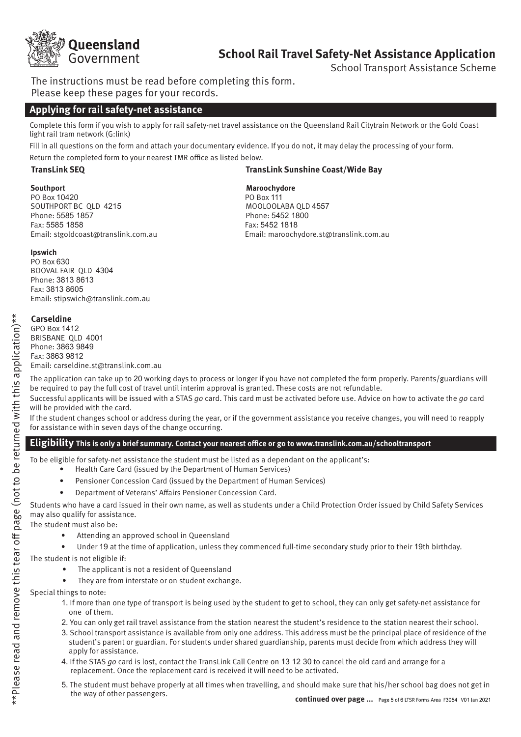

# **School Rail Travel Safety-Net Assistance Application**

School Transport Assistance Scheme

The instructions must be read before completing this form. Please keep these pages for your records.

# **Applying for rail safety-net assistance**

Complete this form if you wish to apply for rail safety-net travel assistance on the Queensland Rail Citytrain Network or the Gold Coast light rail tram network (G:link)

Fill in all questions on the form and attach your documentary evidence. If you do not, it may delay the processing of your form.

Return the completed form to your nearest TMR office as listed below.

#### **TransLink SEQ TransLink Sunshine Coast/Wide Bay**

**Southport**<br> **Maroochydore**<br> **PO Box 10420**<br> **PO Box 111**  PO Box 10420 PO Box 111 SOUTHPORT BC QLD 4215 Phone: 5585 1857 Phone: 5452 1800 Fax: 5585 1858 Fax: 5452 1818

Email: stgoldcoast@translink.com.au Email: maroochydore.st@translink.com.au

### **Ipswich**

 PO Box 630 BOOVAL FAIR QLD 4304 Phone: 3813 8613 Fax: 3813 8605 Email: stipswich@translink.com.au

### **Carseldine**

 GPO Box 1412 BRISBANE QLD 4001 Phone: 3863 9849 Fax: 3863 9812 Email: carseldine.st@translink.com.au

The application can take up to 20 working days to process or longer if you have not completed the form properly. Parents/guardians will be required to pay the full cost of travel until interim approval is granted. These costs are not refundable.

Successful applicants will be issued with a STAS *go* card. This card must be activated before use. Advice on how to activate the *go* card will be provided with the card.

If the student changes school or address during the year, or if the government assistance you receive changes, you will need to reapply for assistance within seven days of the change occurring.

### **Eligibility This is only a brief summary. Contact your nearest office or go to www.translink.com.au/schooltransport**

To be eligible for safety-net assistance the student must be listed as a dependant on the applicant's:

- Health Care Card (issued by the Department of Human Services)
	- Pensioner Concession Card (issued by the Department of Human Services)
	- Department of Veterans' Affairs Pensioner Concession Card.

Students who have a card issued in their own name, as well as students under a Child Protection Order issued by Child Safety Services may also qualify for assistance.

The student must also be:

- Attending an approved school in Queensland
- Under 19 at the time of application, unless they commenced full-time secondary study prior to their 19th birthday.

The student is not eligible if:

- The applicant is not a resident of Queensland
- They are from interstate or on student exchange.

Special things to note:

- 1. If more than one type of transport is being used by the student to get to school, they can only get safety-net assistance for one of them.
- 2. You can only get rail travel assistance from the station nearest the student's residence to the station nearest their school.
- 3. School transport assistance is available from only one address. This address must be the principal place of residence of the student's parent or guardian. For students under shared guardianship, parents must decide from which address they will apply for assistance.
- 4. If the STAS *go* card is lost, contact the TransLink Call Centre on 13 12 30 to cancel the old card and arrange for a replacement. Once the replacement card is received it will need to be activated.
- 5. The student must behave properly at all times when travelling, and should make sure that his/her school bag does not get in the way of other passengers.